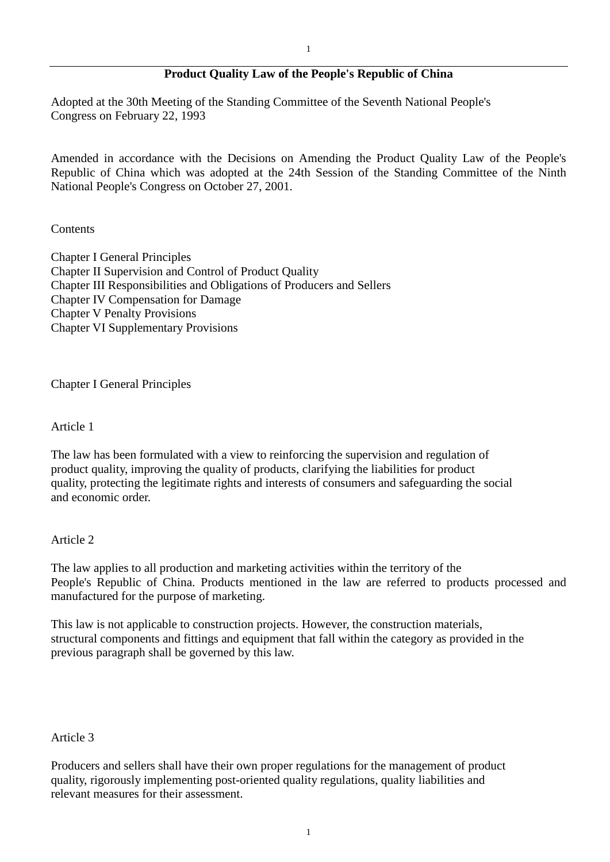# **Product Quality Law of the People's Republic of China**

Adopted at the 30th Meeting of the Standing Committee of the Seventh National People's Congress on February 22, 1993

Amended in accordance with the Decisions on Amending the Product Quality Law of the People's Republic of China which was adopted at the 24th Session of the Standing Committee of the Ninth National People's Congress on October 27, 2001.

### Contents

Chapter I General Principles Chapter II Supervision and Control of Product Quality Chapter III Responsibilities and Obligations of Producers and Sellers Chapter IV Compensation for Damage Chapter V Penalty Provisions Chapter VI Supplementary Provisions

Chapter I General Principles

Article 1

The law has been formulated with a view to reinforcing the supervision and regulation of product quality, improving the quality of products, clarifying the liabilities for product quality, protecting the legitimate rights and interests of consumers and safeguarding the social and economic order.

Article 2

The law applies to all production and marketing activities within the territory of the People's Republic of China. Products mentioned in the law are referred to products processed and manufactured for the purpose of marketing.

This law is not applicable to construction projects. However, the construction materials, structural components and fittings and equipment that fall within the category as provided in the previous paragraph shall be governed by this law.

## Article 3

Producers and sellers shall have their own proper regulations for the management of product quality, rigorously implementing post-oriented quality regulations, quality liabilities and relevant measures for their assessment.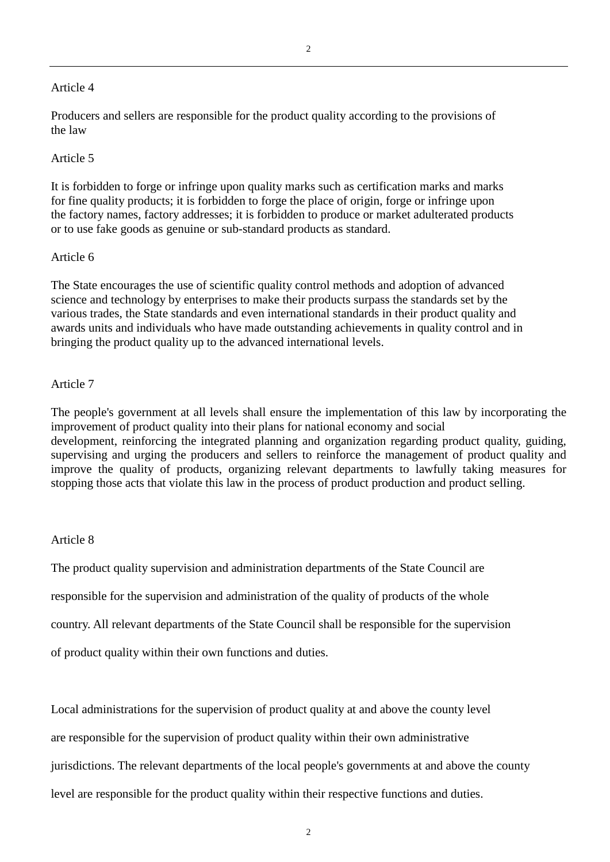### Article 4

Producers and sellers are responsible for the product quality according to the provisions of the law

### Article 5

It is forbidden to forge or infringe upon quality marks such as certification marks and marks for fine quality products; it is forbidden to forge the place of origin, forge or infringe upon the factory names, factory addresses; it is forbidden to produce or market adulterated products or to use fake goods as genuine or sub-standard products as standard.

## Article 6

The State encourages the use of scientific quality control methods and adoption of advanced science and technology by enterprises to make their products surpass the standards set by the various trades, the State standards and even international standards in their product quality and awards units and individuals who have made outstanding achievements in quality control and in bringing the product quality up to the advanced international levels.

### Article 7

The people's government at all levels shall ensure the implementation of this law by incorporating the improvement of product quality into their plans for national economy and social development, reinforcing the integrated planning and organization regarding product quality, guiding, supervising and urging the producers and sellers to reinforce the management of product quality and improve the quality of products, organizing relevant departments to lawfully taking measures for stopping those acts that violate this law in the process of product production and product selling.

#### Article 8

The product quality supervision and administration departments of the State Council are responsible for the supervision and administration of the quality of products of the whole country. All relevant departments of the State Council shall be responsible for the supervision of product quality within their own functions and duties.

Local administrations for the supervision of product quality at and above the county level are responsible for the supervision of product quality within their own administrative jurisdictions. The relevant departments of the local people's governments at and above the county level are responsible for the product quality within their respective functions and duties.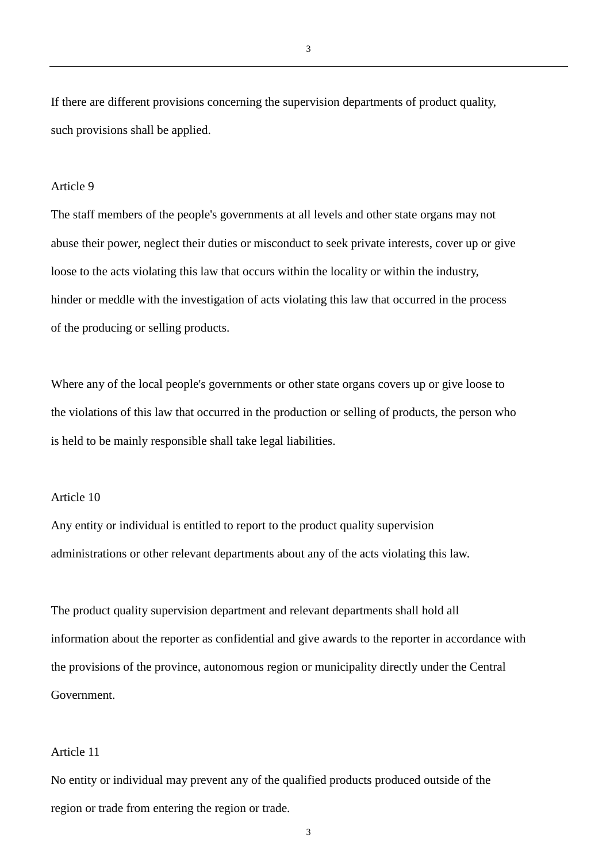If there are different provisions concerning the supervision departments of product quality, such provisions shall be applied.

### Article 9

The staff members of the people's governments at all levels and other state organs may not abuse their power, neglect their duties or misconduct to seek private interests, cover up or give loose to the acts violating this law that occurs within the locality or within the industry, hinder or meddle with the investigation of acts violating this law that occurred in the process of the producing or selling products.

Where any of the local people's governments or other state organs covers up or give loose to the violations of this law that occurred in the production or selling of products, the person who is held to be mainly responsible shall take legal liabilities.

#### Article 10

Any entity or individual is entitled to report to the product quality supervision administrations or other relevant departments about any of the acts violating this law.

The product quality supervision department and relevant departments shall hold all information about the reporter as confidential and give awards to the reporter in accordance with the provisions of the province, autonomous region or municipality directly under the Central Government.

#### Article 11

No entity or individual may prevent any of the qualified products produced outside of the region or trade from entering the region or trade.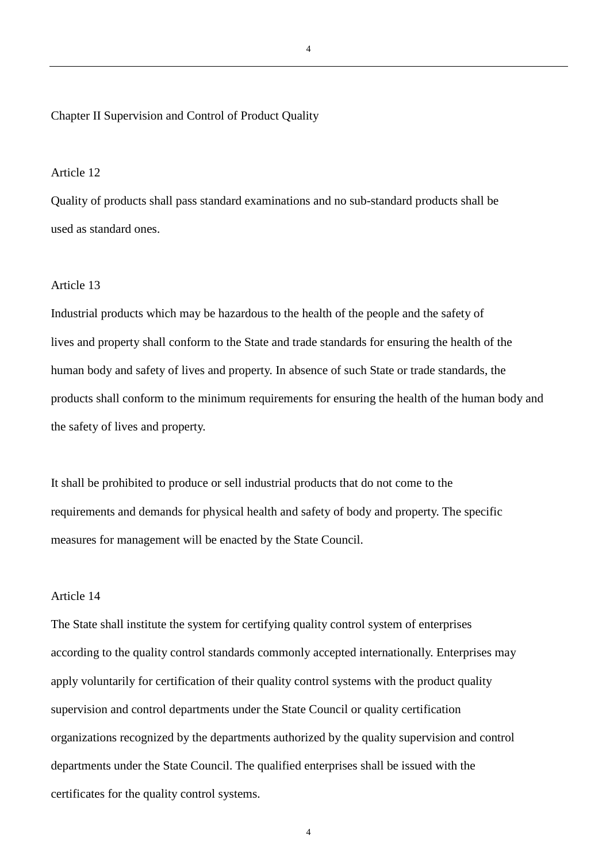### Chapter II Supervision and Control of Product Quality

### Article 12

Quality of products shall pass standard examinations and no sub-standard products shall be used as standard ones.

## Article 13

Industrial products which may be hazardous to the health of the people and the safety of lives and property shall conform to the State and trade standards for ensuring the health of the human body and safety of lives and property. In absence of such State or trade standards, the products shall conform to the minimum requirements for ensuring the health of the human body and the safety of lives and property.

It shall be prohibited to produce or sell industrial products that do not come to the requirements and demands for physical health and safety of body and property. The specific measures for management will be enacted by the State Council.

### Article 14

The State shall institute the system for certifying quality control system of enterprises according to the quality control standards commonly accepted internationally. Enterprises may apply voluntarily for certification of their quality control systems with the product quality supervision and control departments under the State Council or quality certification organizations recognized by the departments authorized by the quality supervision and control departments under the State Council. The qualified enterprises shall be issued with the certificates for the quality control systems.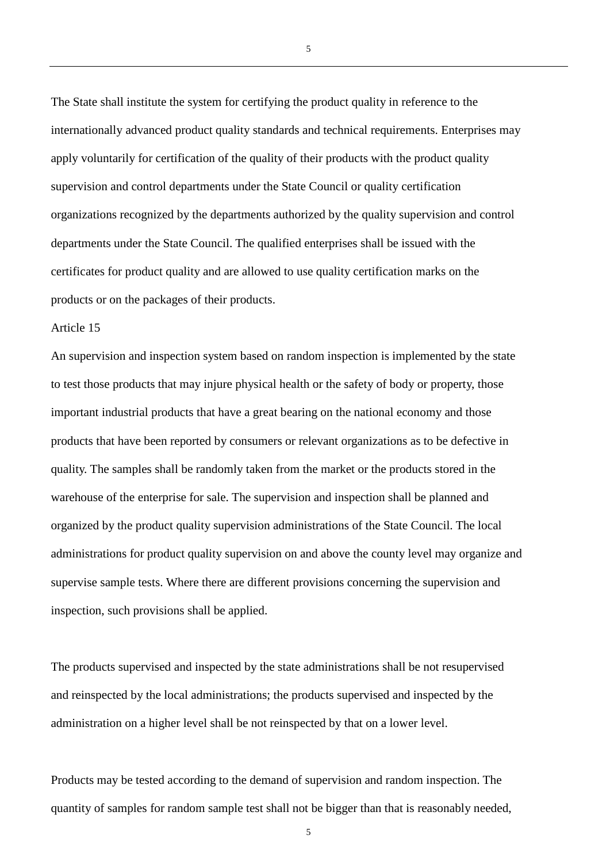The State shall institute the system for certifying the product quality in reference to the internationally advanced product quality standards and technical requirements. Enterprises may apply voluntarily for certification of the quality of their products with the product quality supervision and control departments under the State Council or quality certification organizations recognized by the departments authorized by the quality supervision and control departments under the State Council. The qualified enterprises shall be issued with the certificates for product quality and are allowed to use quality certification marks on the products or on the packages of their products.

#### Article 15

An supervision and inspection system based on random inspection is implemented by the state to test those products that may injure physical health or the safety of body or property, those important industrial products that have a great bearing on the national economy and those products that have been reported by consumers or relevant organizations as to be defective in quality. The samples shall be randomly taken from the market or the products stored in the warehouse of the enterprise for sale. The supervision and inspection shall be planned and organized by the product quality supervision administrations of the State Council. The local administrations for product quality supervision on and above the county level may organize and supervise sample tests. Where there are different provisions concerning the supervision and inspection, such provisions shall be applied.

The products supervised and inspected by the state administrations shall be not resupervised and reinspected by the local administrations; the products supervised and inspected by the administration on a higher level shall be not reinspected by that on a lower level.

Products may be tested according to the demand of supervision and random inspection. The quantity of samples for random sample test shall not be bigger than that is reasonably needed,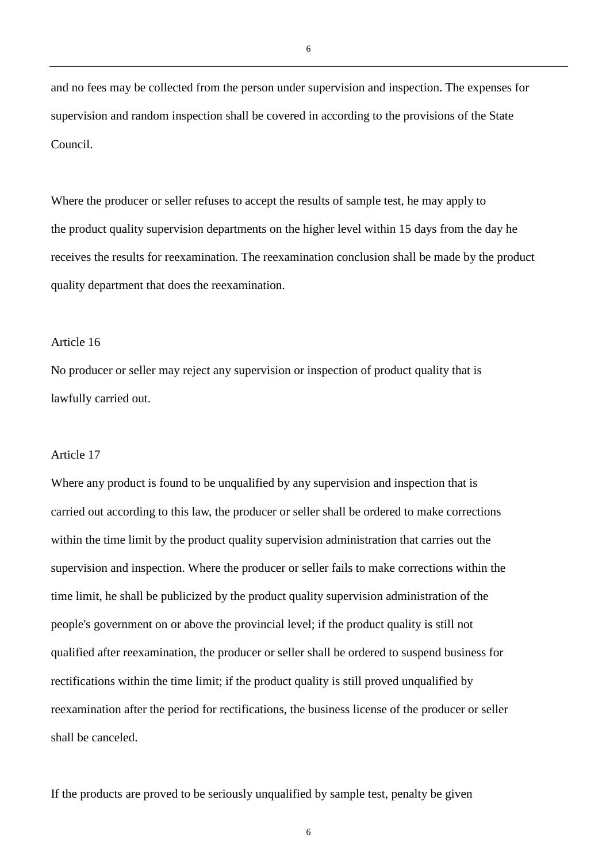and no fees may be collected from the person under supervision and inspection. The expenses for supervision and random inspection shall be covered in according to the provisions of the State Council.

Where the producer or seller refuses to accept the results of sample test, he may apply to the product quality supervision departments on the higher level within 15 days from the day he receives the results for reexamination. The reexamination conclusion shall be made by the product quality department that does the reexamination.

## Article 16

No producer or seller may reject any supervision or inspection of product quality that is lawfully carried out.

### Article 17

Where any product is found to be unqualified by any supervision and inspection that is carried out according to this law, the producer or seller shall be ordered to make corrections within the time limit by the product quality supervision administration that carries out the supervision and inspection. Where the producer or seller fails to make corrections within the time limit, he shall be publicized by the product quality supervision administration of the people's government on or above the provincial level; if the product quality is still not qualified after reexamination, the producer or seller shall be ordered to suspend business for rectifications within the time limit; if the product quality is still proved unqualified by reexamination after the period for rectifications, the business license of the producer or seller shall be canceled.

If the products are proved to be seriously unqualified by sample test, penalty be given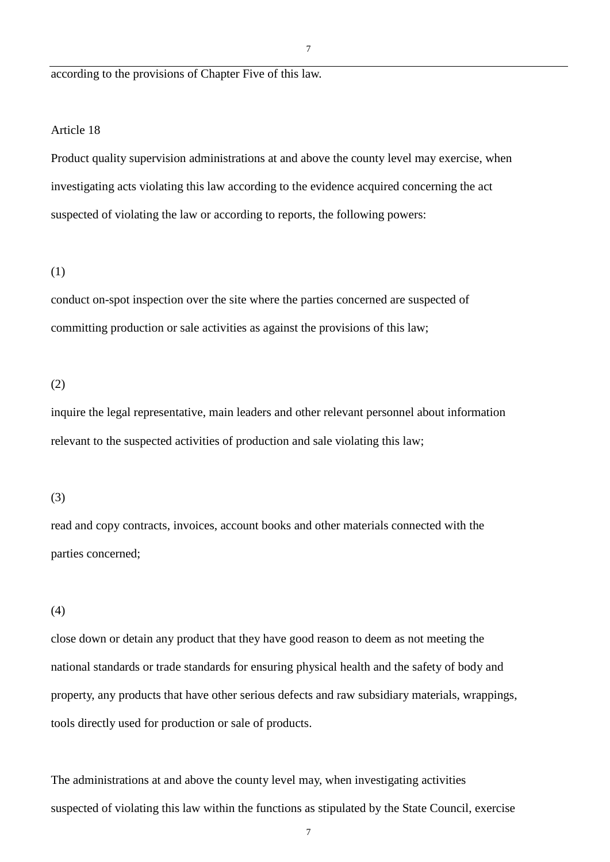according to the provisions of Chapter Five of this law.

### Article 18

Product quality supervision administrations at and above the county level may exercise, when investigating acts violating this law according to the evidence acquired concerning the act suspected of violating the law or according to reports, the following powers:

### (1)

conduct on-spot inspection over the site where the parties concerned are suspected of committing production or sale activities as against the provisions of this law;

#### (2)

inquire the legal representative, main leaders and other relevant personnel about information relevant to the suspected activities of production and sale violating this law;

#### (3)

read and copy contracts, invoices, account books and other materials connected with the parties concerned;

## (4)

close down or detain any product that they have good reason to deem as not meeting the national standards or trade standards for ensuring physical health and the safety of body and property, any products that have other serious defects and raw subsidiary materials, wrappings, tools directly used for production or sale of products.

The administrations at and above the county level may, when investigating activities suspected of violating this law within the functions as stipulated by the State Council, exercise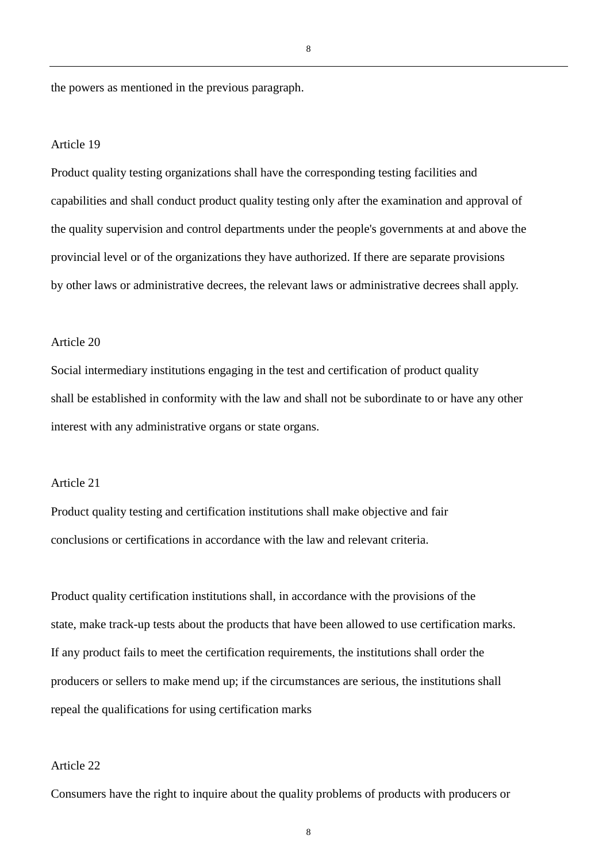the powers as mentioned in the previous paragraph.

#### Article 19

Product quality testing organizations shall have the corresponding testing facilities and capabilities and shall conduct product quality testing only after the examination and approval of the quality supervision and control departments under the people's governments at and above the provincial level or of the organizations they have authorized. If there are separate provisions by other laws or administrative decrees, the relevant laws or administrative decrees shall apply.

## Article 20

Social intermediary institutions engaging in the test and certification of product quality shall be established in conformity with the law and shall not be subordinate to or have any other interest with any administrative organs or state organs.

#### Article 21

Product quality testing and certification institutions shall make objective and fair conclusions or certifications in accordance with the law and relevant criteria.

Product quality certification institutions shall, in accordance with the provisions of the state, make track-up tests about the products that have been allowed to use certification marks. If any product fails to meet the certification requirements, the institutions shall order the producers or sellers to make mend up; if the circumstances are serious, the institutions shall repeal the qualifications for using certification marks

## Article 22

Consumers have the right to inquire about the quality problems of products with producers or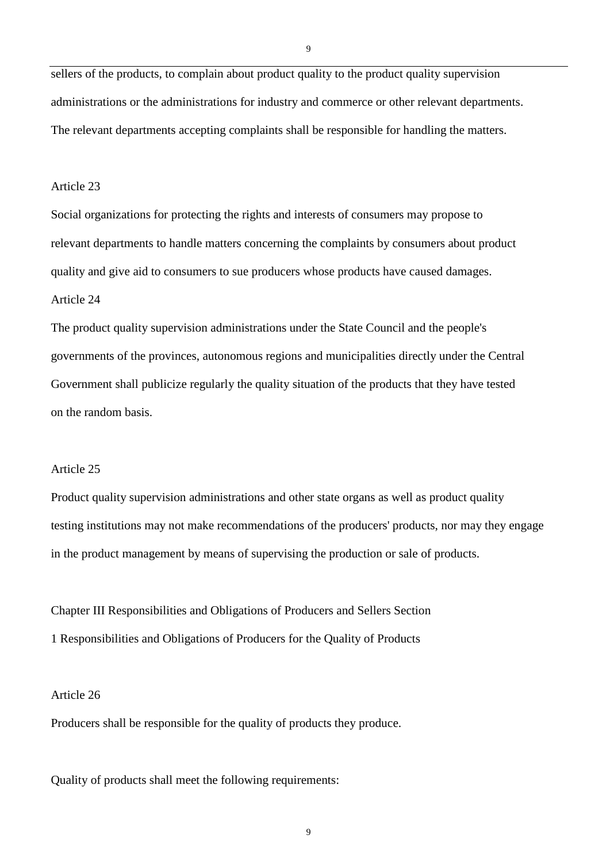sellers of the products, to complain about product quality to the product quality supervision administrations or the administrations for industry and commerce or other relevant departments. The relevant departments accepting complaints shall be responsible for handling the matters.

## Article 23

Social organizations for protecting the rights and interests of consumers may propose to relevant departments to handle matters concerning the complaints by consumers about product quality and give aid to consumers to sue producers whose products have caused damages. Article 24

The product quality supervision administrations under the State Council and the people's governments of the provinces, autonomous regions and municipalities directly under the Central Government shall publicize regularly the quality situation of the products that they have tested on the random basis.

# Article 25

Product quality supervision administrations and other state organs as well as product quality testing institutions may not make recommendations of the producers' products, nor may they engage in the product management by means of supervising the production or sale of products.

Chapter III Responsibilities and Obligations of Producers and Sellers Section 1 Responsibilities and Obligations of Producers for the Quality of Products

## Article 26

Producers shall be responsible for the quality of products they produce.

Quality of products shall meet the following requirements: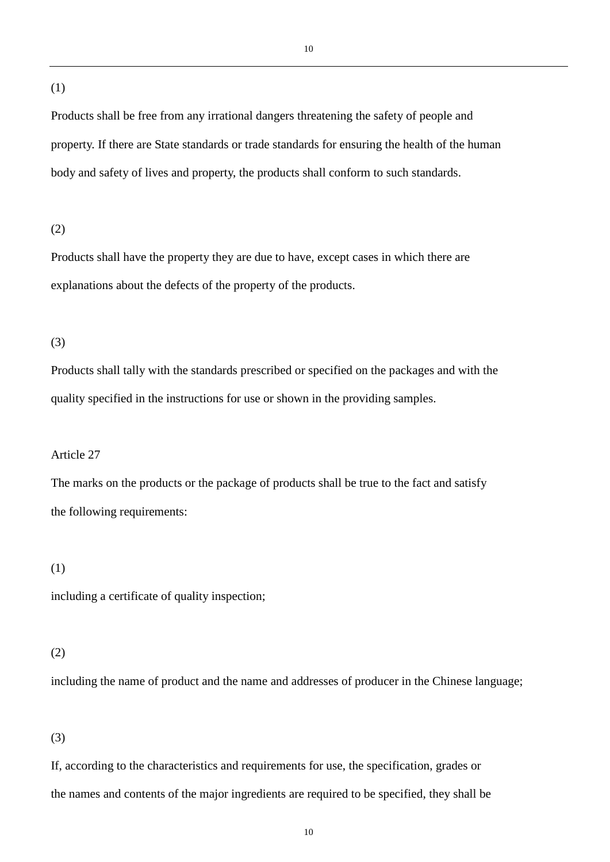#### (1)

Products shall be free from any irrational dangers threatening the safety of people and property. If there are State standards or trade standards for ensuring the health of the human body and safety of lives and property, the products shall conform to such standards.

# (2)

Products shall have the property they are due to have, except cases in which there are explanations about the defects of the property of the products.

## (3)

Products shall tally with the standards prescribed or specified on the packages and with the quality specified in the instructions for use or shown in the providing samples.

# Article 27

The marks on the products or the package of products shall be true to the fact and satisfy the following requirements:

# (1)

including a certificate of quality inspection;

#### (2)

including the name of product and the name and addresses of producer in the Chinese language;

## (3)

If, according to the characteristics and requirements for use, the specification, grades or the names and contents of the major ingredients are required to be specified, they shall be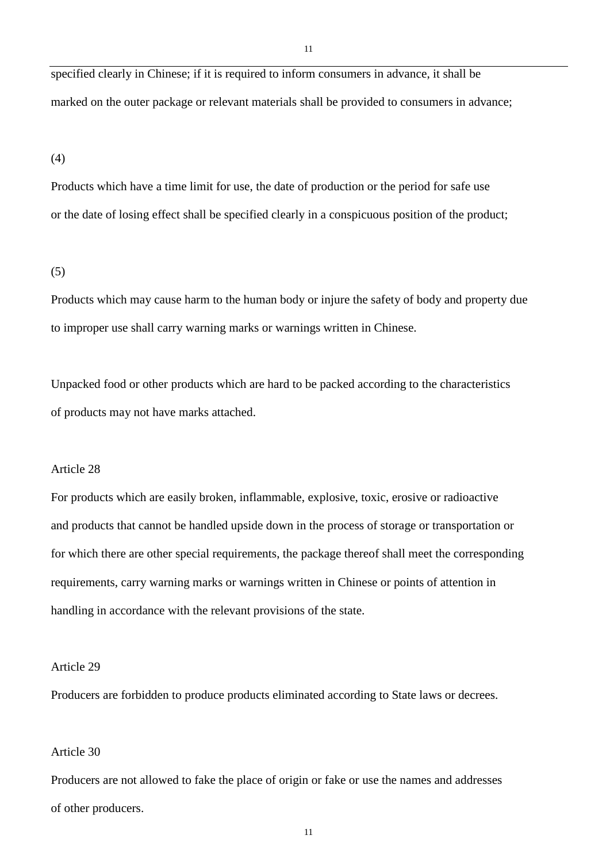specified clearly in Chinese; if it is required to inform consumers in advance, it shall be marked on the outer package or relevant materials shall be provided to consumers in advance;

(4)

Products which have a time limit for use, the date of production or the period for safe use or the date of losing effect shall be specified clearly in a conspicuous position of the product;

(5)

Products which may cause harm to the human body or injure the safety of body and property due to improper use shall carry warning marks or warnings written in Chinese.

Unpacked food or other products which are hard to be packed according to the characteristics of products may not have marks attached.

#### Article 28

For products which are easily broken, inflammable, explosive, toxic, erosive or radioactive and products that cannot be handled upside down in the process of storage or transportation or for which there are other special requirements, the package thereof shall meet the corresponding requirements, carry warning marks or warnings written in Chinese or points of attention in handling in accordance with the relevant provisions of the state.

Article 29

Producers are forbidden to produce products eliminated according to State laws or decrees.

#### Article 30

Producers are not allowed to fake the place of origin or fake or use the names and addresses of other producers.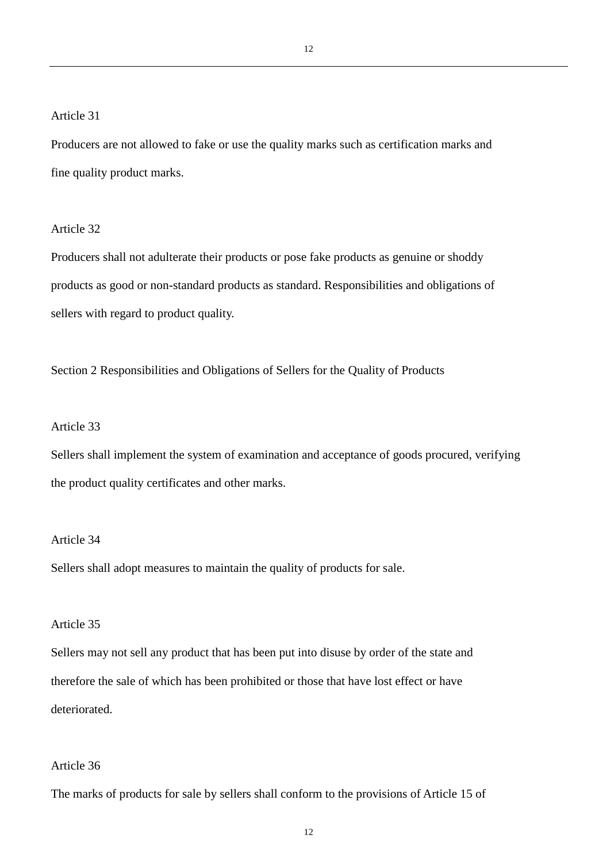Article 31

Producers are not allowed to fake or use the quality marks such as certification marks and fine quality product marks.

Article 32

Producers shall not adulterate their products or pose fake products as genuine or shoddy products as good or non-standard products as standard. Responsibilities and obligations of sellers with regard to product quality.

Section 2 Responsibilities and Obligations of Sellers for the Quality of Products

### Article 33

Sellers shall implement the system of examination and acceptance of goods procured, verifying the product quality certificates and other marks.

#### Article 34

Sellers shall adopt measures to maintain the quality of products for sale.

# Article 35

Sellers may not sell any product that has been put into disuse by order of the state and therefore the sale of which has been prohibited or those that have lost effect or have deteriorated.

## Article 36

The marks of products for sale by sellers shall conform to the provisions of Article 15 of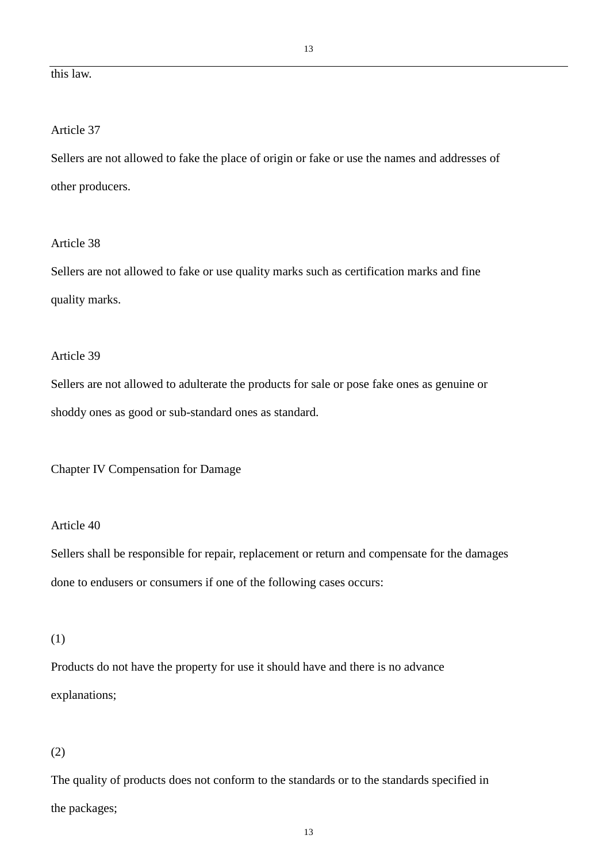# this law.

# Article 37

Sellers are not allowed to fake the place of origin or fake or use the names and addresses of other producers.

# Article 38

Sellers are not allowed to fake or use quality marks such as certification marks and fine quality marks.

# Article 39

Sellers are not allowed to adulterate the products for sale or pose fake ones as genuine or shoddy ones as good or sub-standard ones as standard.

Chapter IV Compensation for Damage

### Article 40

Sellers shall be responsible for repair, replacement or return and compensate for the damages done to endusers or consumers if one of the following cases occurs:

#### (1)

Products do not have the property for use it should have and there is no advance explanations;

### (2)

The quality of products does not conform to the standards or to the standards specified in the packages;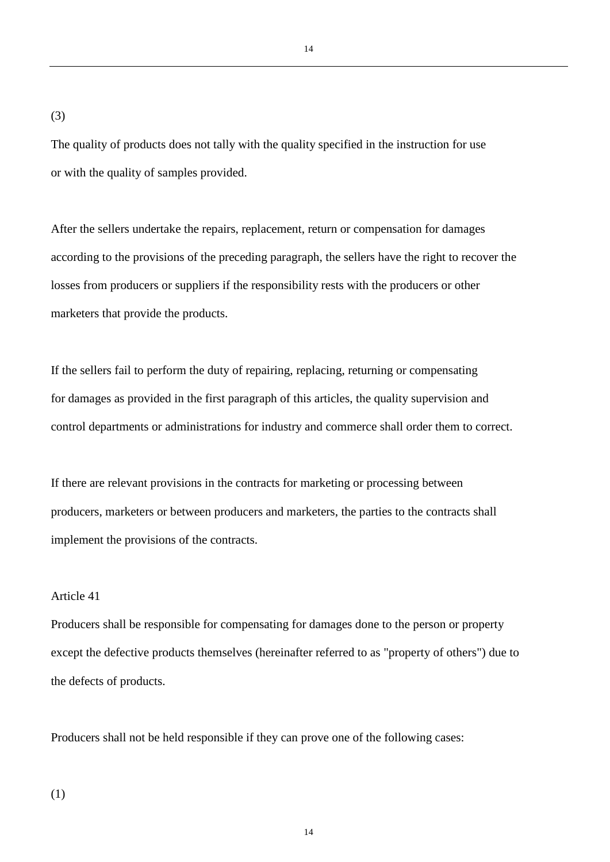14

(3)

The quality of products does not tally with the quality specified in the instruction for use or with the quality of samples provided.

After the sellers undertake the repairs, replacement, return or compensation for damages according to the provisions of the preceding paragraph, the sellers have the right to recover the losses from producers or suppliers if the responsibility rests with the producers or other marketers that provide the products.

If the sellers fail to perform the duty of repairing, replacing, returning or compensating for damages as provided in the first paragraph of this articles, the quality supervision and control departments or administrations for industry and commerce shall order them to correct.

If there are relevant provisions in the contracts for marketing or processing between producers, marketers or between producers and marketers, the parties to the contracts shall implement the provisions of the contracts.

## Article 41

Producers shall be responsible for compensating for damages done to the person or property except the defective products themselves (hereinafter referred to as "property of others") due to the defects of products.

Producers shall not be held responsible if they can prove one of the following cases:

(1)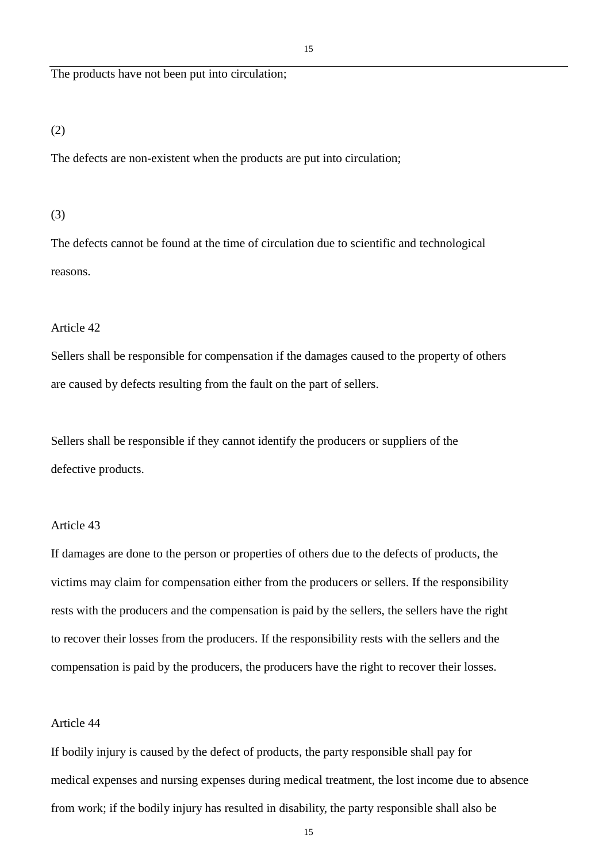The products have not been put into circulation;

## (2)

The defects are non-existent when the products are put into circulation;

#### (3)

The defects cannot be found at the time of circulation due to scientific and technological reasons.

## Article 42

Sellers shall be responsible for compensation if the damages caused to the property of others are caused by defects resulting from the fault on the part of sellers.

Sellers shall be responsible if they cannot identify the producers or suppliers of the defective products.

### Article 43

If damages are done to the person or properties of others due to the defects of products, the victims may claim for compensation either from the producers or sellers. If the responsibility rests with the producers and the compensation is paid by the sellers, the sellers have the right to recover their losses from the producers. If the responsibility rests with the sellers and the compensation is paid by the producers, the producers have the right to recover their losses.

### Article 44

If bodily injury is caused by the defect of products, the party responsible shall pay for medical expenses and nursing expenses during medical treatment, the lost income due to absence from work; if the bodily injury has resulted in disability, the party responsible shall also be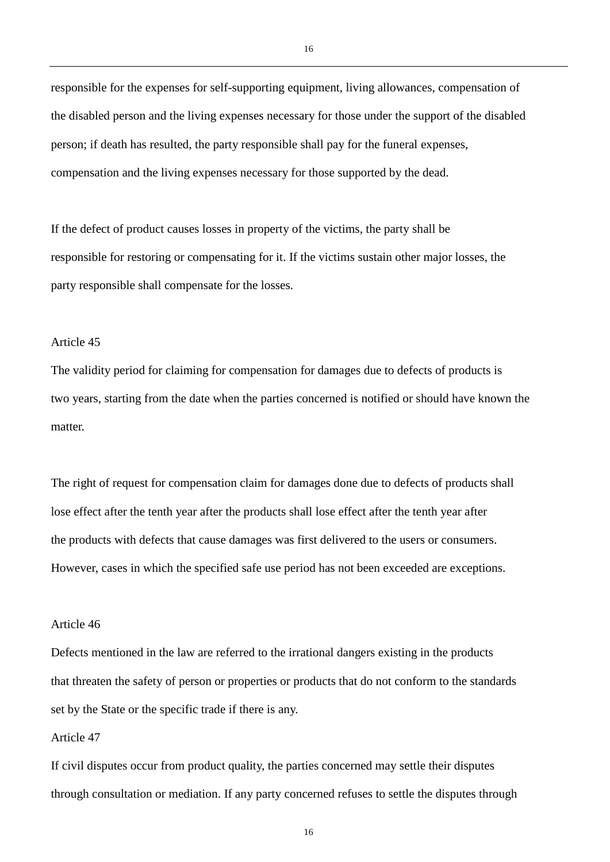responsible for the expenses for self-supporting equipment, living allowances, compensation of the disabled person and the living expenses necessary for those under the support of the disabled person; if death has resulted, the party responsible shall pay for the funeral expenses, compensation and the living expenses necessary for those supported by the dead.

If the defect of product causes losses in property of the victims, the party shall be responsible for restoring or compensating for it. If the victims sustain other major losses, the party responsible shall compensate for the losses.

### Article 45

The validity period for claiming for compensation for damages due to defects of products is two years, starting from the date when the parties concerned is notified or should have known the matter.

The right of request for compensation claim for damages done due to defects of products shall lose effect after the tenth year after the products shall lose effect after the tenth year after the products with defects that cause damages was first delivered to the users or consumers. However, cases in which the specified safe use period has not been exceeded are exceptions.

### Article 46

Defects mentioned in the law are referred to the irrational dangers existing in the products that threaten the safety of person or properties or products that do not conform to the standards set by the State or the specific trade if there is any.

### Article 47

If civil disputes occur from product quality, the parties concerned may settle their disputes through consultation or mediation. If any party concerned refuses to settle the disputes through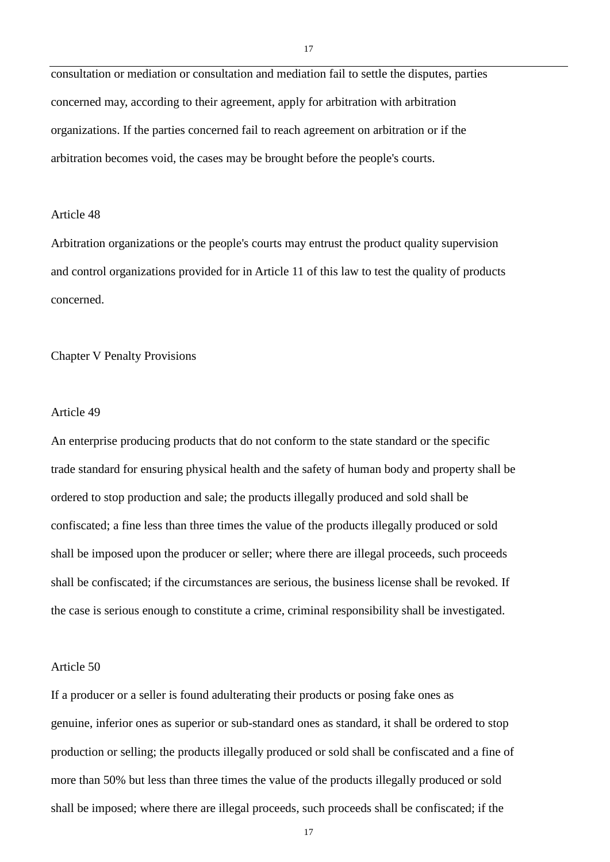consultation or mediation or consultation and mediation fail to settle the disputes, parties concerned may, according to their agreement, apply for arbitration with arbitration organizations. If the parties concerned fail to reach agreement on arbitration or if the arbitration becomes void, the cases may be brought before the people's courts.

### Article 48

Arbitration organizations or the people's courts may entrust the product quality supervision and control organizations provided for in Article 11 of this law to test the quality of products concerned.

Chapter V Penalty Provisions

#### Article 49

An enterprise producing products that do not conform to the state standard or the specific trade standard for ensuring physical health and the safety of human body and property shall be ordered to stop production and sale; the products illegally produced and sold shall be confiscated; a fine less than three times the value of the products illegally produced or sold shall be imposed upon the producer or seller; where there are illegal proceeds, such proceeds shall be confiscated; if the circumstances are serious, the business license shall be revoked. If the case is serious enough to constitute a crime, criminal responsibility shall be investigated.

### Article 50

If a producer or a seller is found adulterating their products or posing fake ones as genuine, inferior ones as superior or sub-standard ones as standard, it shall be ordered to stop production or selling; the products illegally produced or sold shall be confiscated and a fine of more than 50% but less than three times the value of the products illegally produced or sold shall be imposed; where there are illegal proceeds, such proceeds shall be confiscated; if the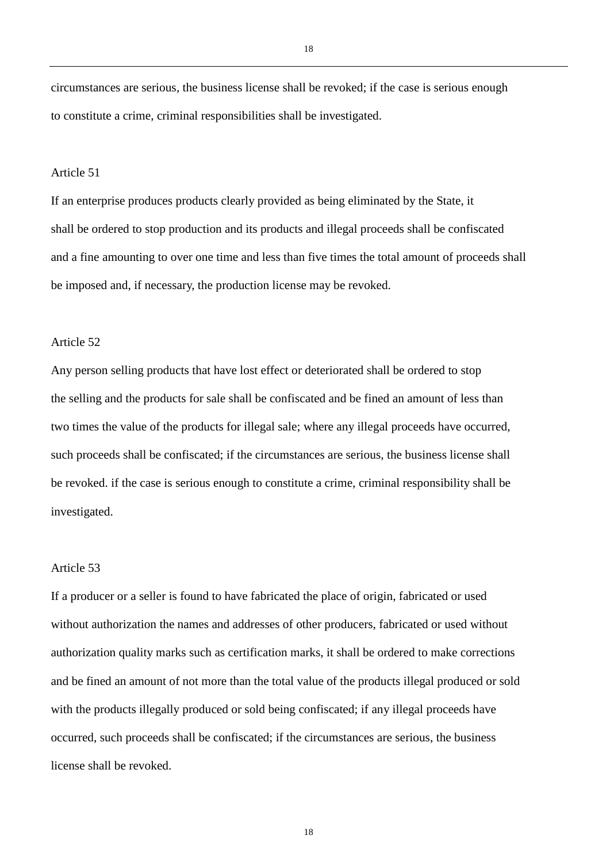circumstances are serious, the business license shall be revoked; if the case is serious enough to constitute a crime, criminal responsibilities shall be investigated.

#### Article 51

If an enterprise produces products clearly provided as being eliminated by the State, it shall be ordered to stop production and its products and illegal proceeds shall be confiscated and a fine amounting to over one time and less than five times the total amount of proceeds shall be imposed and, if necessary, the production license may be revoked.

## Article 52

Any person selling products that have lost effect or deteriorated shall be ordered to stop the selling and the products for sale shall be confiscated and be fined an amount of less than two times the value of the products for illegal sale; where any illegal proceeds have occurred, such proceeds shall be confiscated; if the circumstances are serious, the business license shall be revoked. if the case is serious enough to constitute a crime, criminal responsibility shall be investigated.

# Article 53

If a producer or a seller is found to have fabricated the place of origin, fabricated or used without authorization the names and addresses of other producers, fabricated or used without authorization quality marks such as certification marks, it shall be ordered to make corrections and be fined an amount of not more than the total value of the products illegal produced or sold with the products illegally produced or sold being confiscated; if any illegal proceeds have occurred, such proceeds shall be confiscated; if the circumstances are serious, the business license shall be revoked.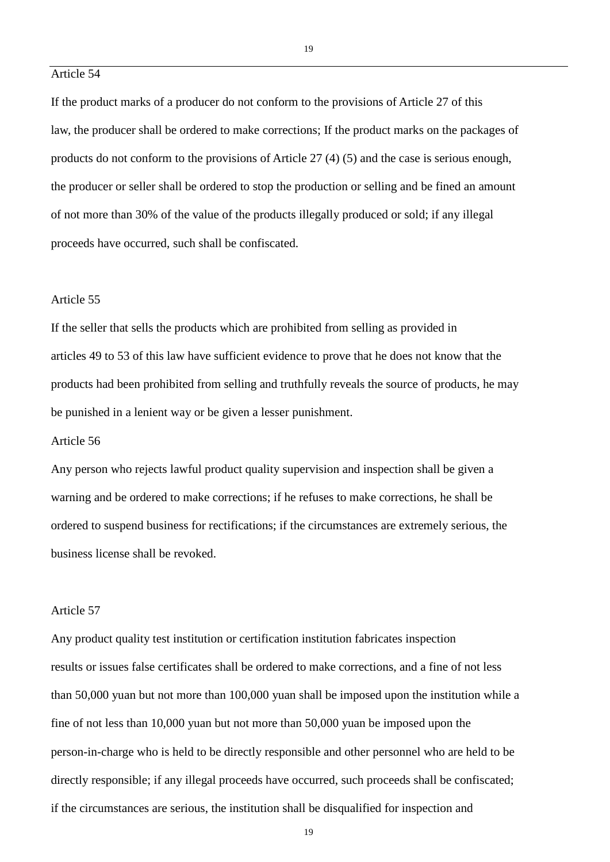## Article 54

If the product marks of a producer do not conform to the provisions of Article 27 of this law, the producer shall be ordered to make corrections; If the product marks on the packages of products do not conform to the provisions of Article 27 (4) (5) and the case is serious enough, the producer or seller shall be ordered to stop the production or selling and be fined an amount of not more than 30% of the value of the products illegally produced or sold; if any illegal proceeds have occurred, such shall be confiscated.

### Article 55

If the seller that sells the products which are prohibited from selling as provided in articles 49 to 53 of this law have sufficient evidence to prove that he does not know that the products had been prohibited from selling and truthfully reveals the source of products, he may be punished in a lenient way or be given a lesser punishment.

#### Article 56

Any person who rejects lawful product quality supervision and inspection shall be given a warning and be ordered to make corrections; if he refuses to make corrections, he shall be ordered to suspend business for rectifications; if the circumstances are extremely serious, the business license shall be revoked.

### Article 57

Any product quality test institution or certification institution fabricates inspection results or issues false certificates shall be ordered to make corrections, and a fine of not less than 50,000 yuan but not more than 100,000 yuan shall be imposed upon the institution while a fine of not less than 10,000 yuan but not more than 50,000 yuan be imposed upon the person-in-charge who is held to be directly responsible and other personnel who are held to be directly responsible; if any illegal proceeds have occurred, such proceeds shall be confiscated; if the circumstances are serious, the institution shall be disqualified for inspection and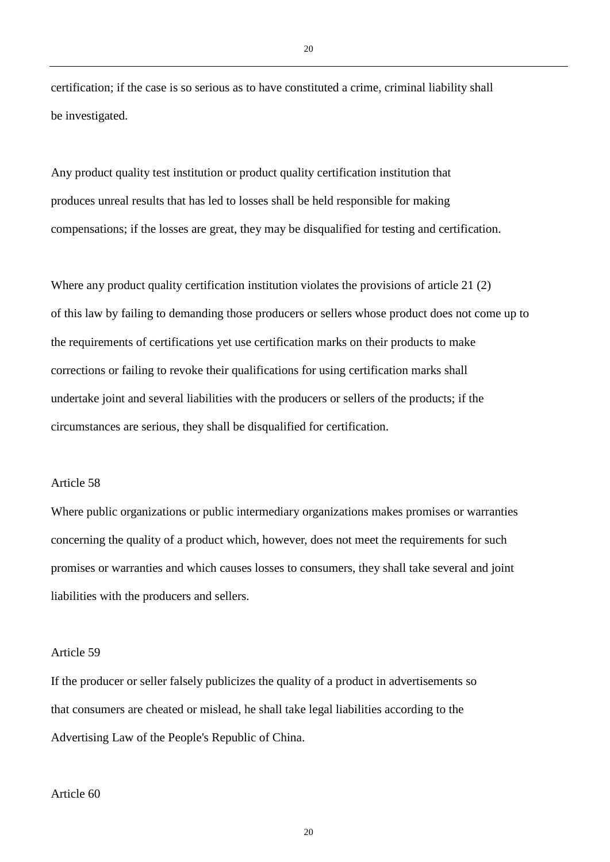certification; if the case is so serious as to have constituted a crime, criminal liability shall be investigated.

Any product quality test institution or product quality certification institution that produces unreal results that has led to losses shall be held responsible for making compensations; if the losses are great, they may be disqualified for testing and certification.

Where any product quality certification institution violates the provisions of article 21 (2) of this law by failing to demanding those producers or sellers whose product does not come up to the requirements of certifications yet use certification marks on their products to make corrections or failing to revoke their qualifications for using certification marks shall undertake joint and several liabilities with the producers or sellers of the products; if the circumstances are serious, they shall be disqualified for certification.

#### Article 58

Where public organizations or public intermediary organizations makes promises or warranties concerning the quality of a product which, however, does not meet the requirements for such promises or warranties and which causes losses to consumers, they shall take several and joint liabilities with the producers and sellers.

#### Article 59

If the producer or seller falsely publicizes the quality of a product in advertisements so that consumers are cheated or mislead, he shall take legal liabilities according to the Advertising Law of the People's Republic of China.

#### Article 60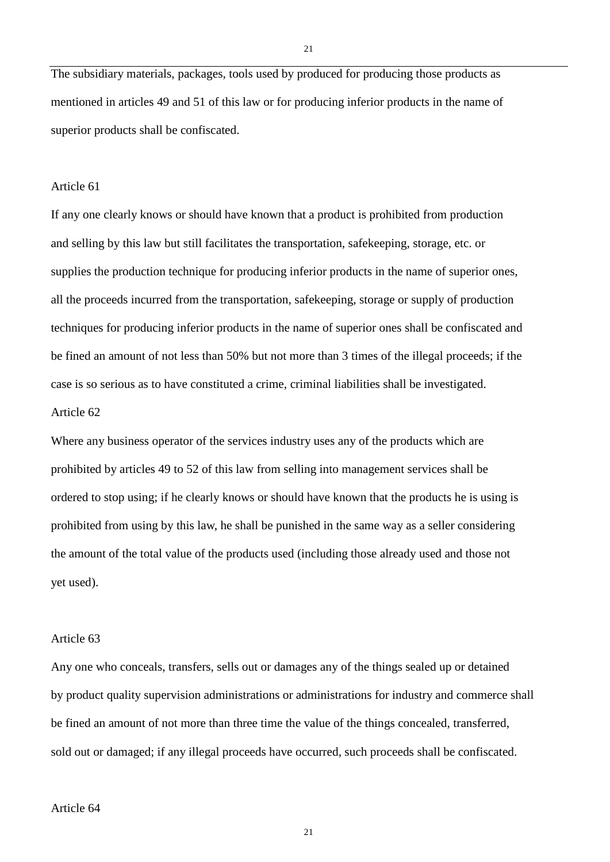The subsidiary materials, packages, tools used by produced for producing those products as mentioned in articles 49 and 51 of this law or for producing inferior products in the name of superior products shall be confiscated.

### Article 61

If any one clearly knows or should have known that a product is prohibited from production and selling by this law but still facilitates the transportation, safekeeping, storage, etc. or supplies the production technique for producing inferior products in the name of superior ones, all the proceeds incurred from the transportation, safekeeping, storage or supply of production techniques for producing inferior products in the name of superior ones shall be confiscated and be fined an amount of not less than 50% but not more than 3 times of the illegal proceeds; if the case is so serious as to have constituted a crime, criminal liabilities shall be investigated. Article 62

Where any business operator of the services industry uses any of the products which are prohibited by articles 49 to 52 of this law from selling into management services shall be ordered to stop using; if he clearly knows or should have known that the products he is using is prohibited from using by this law, he shall be punished in the same way as a seller considering the amount of the total value of the products used (including those already used and those not yet used).

#### Article 63

Any one who conceals, transfers, sells out or damages any of the things sealed up or detained by product quality supervision administrations or administrations for industry and commerce shall be fined an amount of not more than three time the value of the things concealed, transferred, sold out or damaged; if any illegal proceeds have occurred, such proceeds shall be confiscated.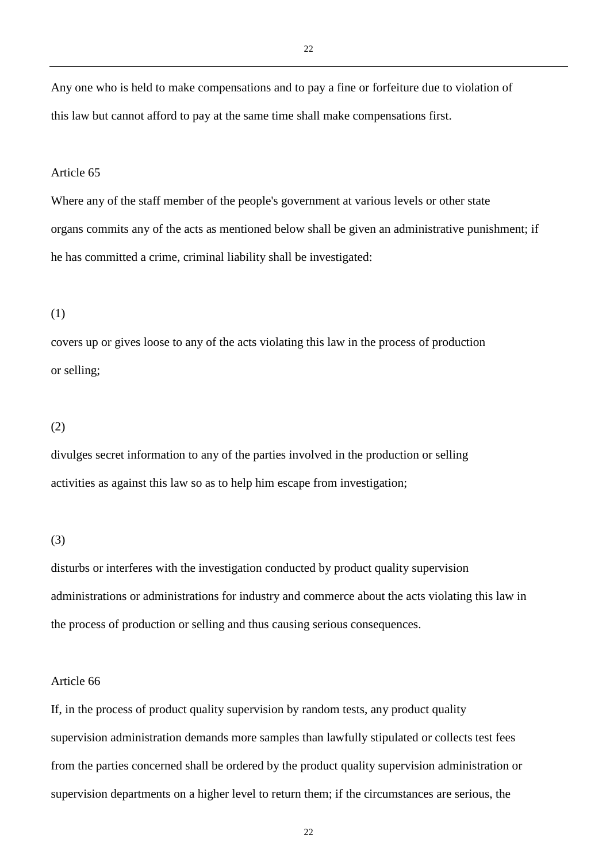Any one who is held to make compensations and to pay a fine or forfeiture due to violation of this law but cannot afford to pay at the same time shall make compensations first.

#### Article 65

Where any of the staff member of the people's government at various levels or other state organs commits any of the acts as mentioned below shall be given an administrative punishment; if he has committed a crime, criminal liability shall be investigated:

#### (1)

covers up or gives loose to any of the acts violating this law in the process of production or selling;

#### (2)

divulges secret information to any of the parties involved in the production or selling activities as against this law so as to help him escape from investigation;

#### (3)

disturbs or interferes with the investigation conducted by product quality supervision administrations or administrations for industry and commerce about the acts violating this law in the process of production or selling and thus causing serious consequences.

#### Article 66

If, in the process of product quality supervision by random tests, any product quality supervision administration demands more samples than lawfully stipulated or collects test fees from the parties concerned shall be ordered by the product quality supervision administration or supervision departments on a higher level to return them; if the circumstances are serious, the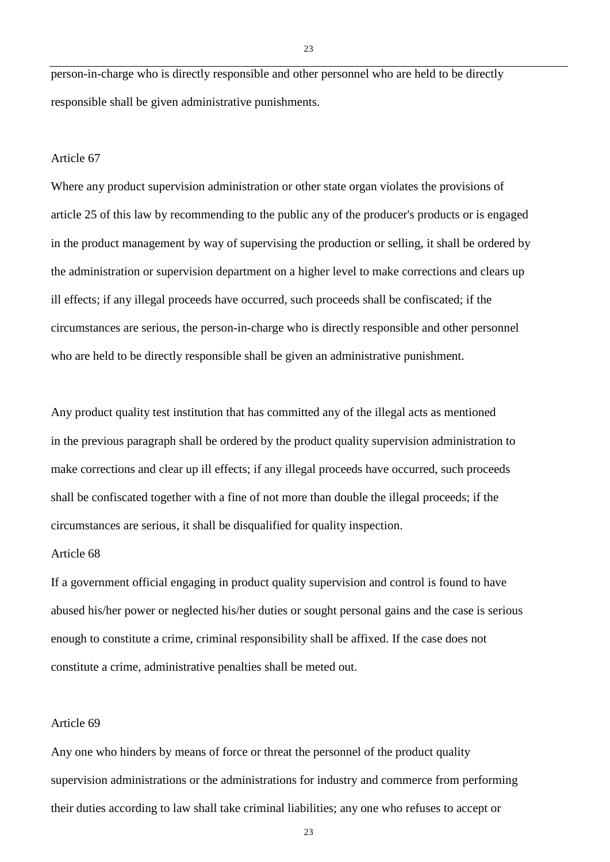person-in-charge who is directly responsible and other personnel who are held to be directly responsible shall be given administrative punishments.

#### Article 67

Where any product supervision administration or other state organ violates the provisions of article 25 of this law by recommending to the public any of the producer's products or is engaged in the product management by way of supervising the production or selling, it shall be ordered by the administration or supervision department on a higher level to make corrections and clears up ill effects; if any illegal proceeds have occurred, such proceeds shall be confiscated; if the circumstances are serious, the person-in-charge who is directly responsible and other personnel who are held to be directly responsible shall be given an administrative punishment.

Any product quality test institution that has committed any of the illegal acts as mentioned in the previous paragraph shall be ordered by the product quality supervision administration to make corrections and clear up ill effects; if any illegal proceeds have occurred, such proceeds shall be confiscated together with a fine of not more than double the illegal proceeds; if the circumstances are serious, it shall be disqualified for quality inspection.

### Article 68

If a government official engaging in product quality supervision and control is found to have abused his/her power or neglected his/her duties or sought personal gains and the case is serious enough to constitute a crime, criminal responsibility shall be affixed. If the case does not constitute a crime, administrative penalties shall be meted out.

#### Article 69

Any one who hinders by means of force or threat the personnel of the product quality supervision administrations or the administrations for industry and commerce from performing their duties according to law shall take criminal liabilities; any one who refuses to accept or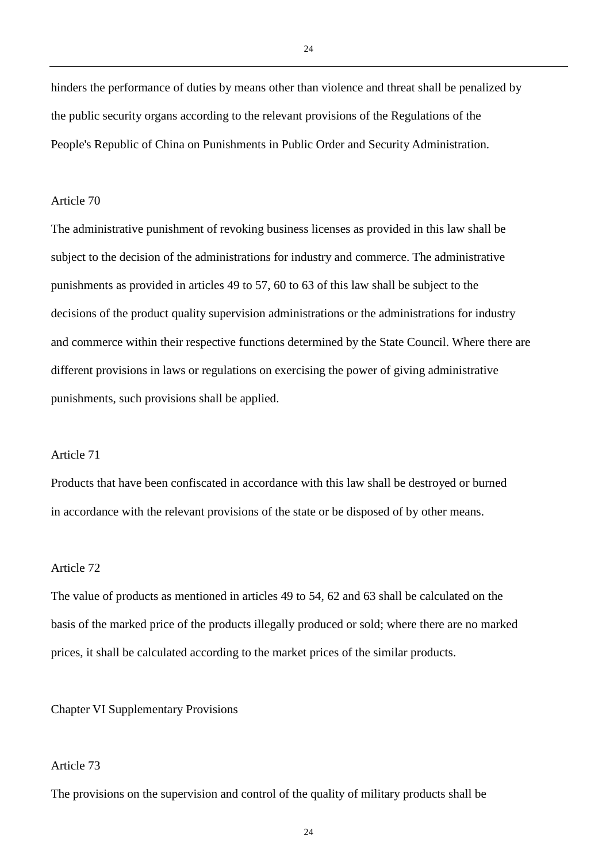hinders the performance of duties by means other than violence and threat shall be penalized by the public security organs according to the relevant provisions of the Regulations of the People's Republic of China on Punishments in Public Order and Security Administration.

## Article 70

The administrative punishment of revoking business licenses as provided in this law shall be subject to the decision of the administrations for industry and commerce. The administrative punishments as provided in articles 49 to 57, 60 to 63 of this law shall be subject to the decisions of the product quality supervision administrations or the administrations for industry and commerce within their respective functions determined by the State Council. Where there are different provisions in laws or regulations on exercising the power of giving administrative punishments, such provisions shall be applied.

## Article 71

Products that have been confiscated in accordance with this law shall be destroyed or burned in accordance with the relevant provisions of the state or be disposed of by other means.

## Article 72

The value of products as mentioned in articles 49 to 54, 62 and 63 shall be calculated on the basis of the marked price of the products illegally produced or sold; where there are no marked prices, it shall be calculated according to the market prices of the similar products.

#### Chapter VI Supplementary Provisions

## Article 73

The provisions on the supervision and control of the quality of military products shall be